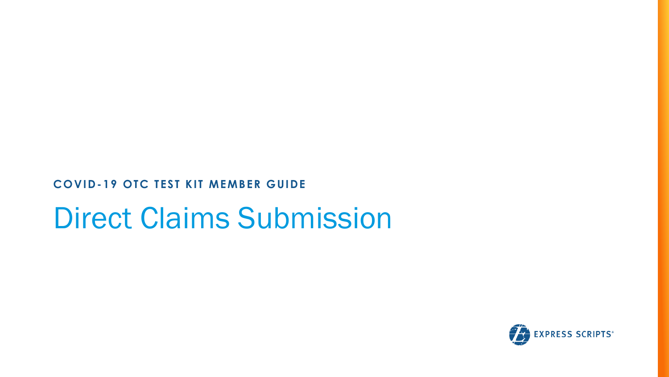**COVID-19 OTC TEST KIT MEMBER GUIDE**

## Direct Claims Submission

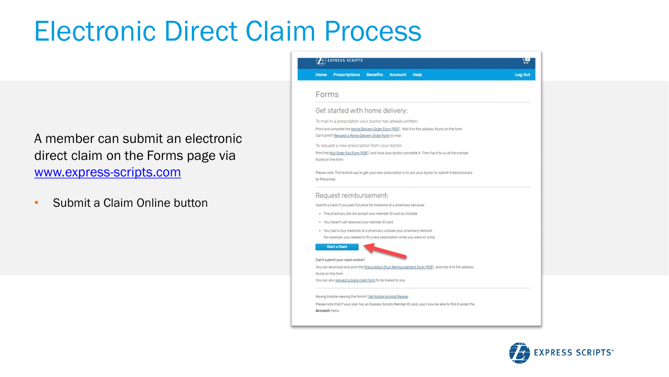### Electronic Direct Claim Process

A member can submit an electronic direct claim on the Forms page via [www.express-scripts.com](http://www.express-scripts.com/)

• Submit a Claim Online button



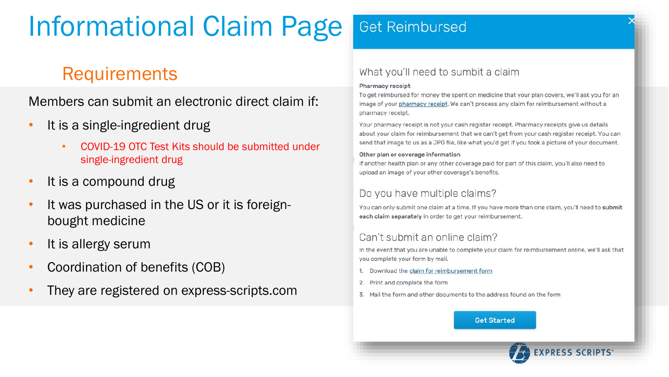## Informational Claim Page

### **Requirements**

Members can submit an electronic direct claim if:

- It is a single-ingredient drug
	- COVID-19 OTC Test Kits should be submitted under single-ingredient drug
- It is a compound drug
- It was purchased in the US or it is foreignbought medicine
- It is allergy serum
- Coordination of benefits (COB)
- They are registered on express-scripts.com

#### What you'll need to sumbit a claim

#### Pharmacy receipt

To get reimbursed for money the spent on medicine that your plan covers, we'll ask you for an image of your pharmacy receipt. We can't process any claim for reimbursement without a pharmacy receipt.

Your pharmacy receipt is not your cash register receipt. Pharmacy receipts give us details about your claim for reimbursement that we can't get from your cash register receipt. You can send that image to us as a JPG file, like what you'd get if you took a picture of your document.

#### Other plan or coverage information

If another health plan or any other coverage paid for part of this claim, you'll also need to upload an image of your other coverage's benefits.

#### Do you have multiple claims?

You can only submit one claim at a time. If you have more than one claim, you'll need to submit each claim separately in order to get your reimbursement.

#### Can't submit an online claim?

In the event that you are unable to complete your claim for reimbursement online, we'll ask that you complete your form by mail.

- 1. Download the claim for reimbursement form
- 2. Print and complete the form
- 3. Mail the form and other documents to the address found on the form

**Get Started** 

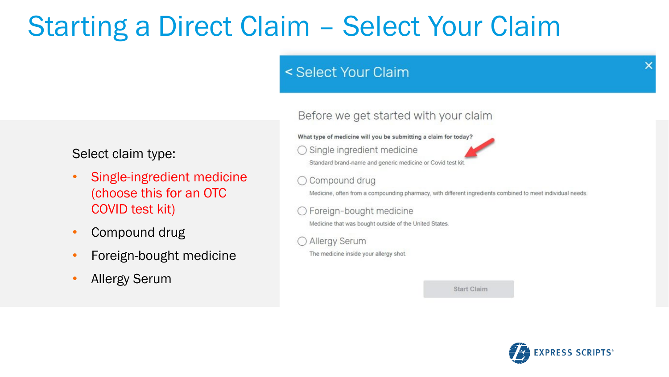## Starting a Direct Claim – Select Your Claim

#### < Select Your Claim

What type of medicine will you be submitting a claim for today?

 $\bigcirc$  Single ingredient medicine



Before we get started with your claim

Compound drug

Medicine, often from a compounding pharmacy, with different ingredients combined to meet individual needs.

Foreign-bought medicine

Medicine that was bought outside of the United States.

Allergy Serum

The medicine inside your allergy shot.

**Start Claim** 



#### Select claim type:

- Single-ingredient medicine (choose this for an OTC COVID test kit)
- Compound drug
- Foreign-bought medicine
- Allergy Serum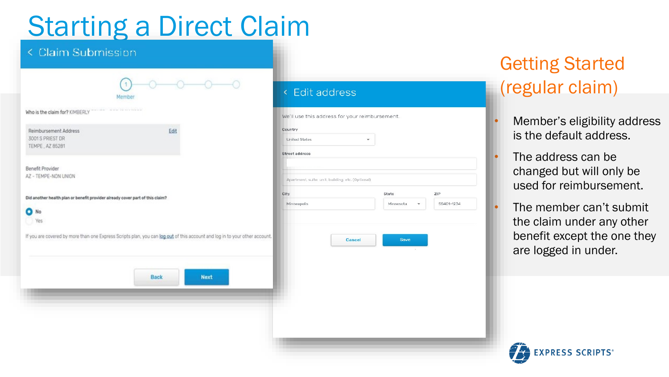## Starting a Direct Claim

#### < Claim Submission

| Who is the claim for? KIMBERLY                                                |                                                                                                                             |                                                   |               |
|-------------------------------------------------------------------------------|-----------------------------------------------------------------------------------------------------------------------------|---------------------------------------------------|---------------|
|                                                                               |                                                                                                                             | We'll use this address for your reimbursemer      |               |
| Reimbursement Address                                                         | Edit                                                                                                                        | Country                                           |               |
| 3001 S PRIEST DR                                                              |                                                                                                                             | United States                                     |               |
| TEMPE, AZ 85281                                                               |                                                                                                                             | <b>Street address</b>                             |               |
| <b>Benefit Provider</b>                                                       |                                                                                                                             |                                                   |               |
| AZ - TEMPE-NON UNION                                                          |                                                                                                                             |                                                   |               |
|                                                                               |                                                                                                                             | Apartment, suite, unit, building, etc. (Optional) |               |
| Did another health plan or benefit provider already cover part of this claim? |                                                                                                                             | City                                              |               |
|                                                                               |                                                                                                                             | Minneapolis                                       |               |
| No<br>٠                                                                       |                                                                                                                             |                                                   |               |
| Yes                                                                           |                                                                                                                             |                                                   |               |
|                                                                               | If you are covered by more than one Express Scripts plan, you can log out of this account and log in to your other account. |                                                   | <b>Cancel</b> |
|                                                                               |                                                                                                                             |                                                   |               |
|                                                                               |                                                                                                                             |                                                   |               |
|                                                                               |                                                                                                                             |                                                   |               |
|                                                                               | <b>Back</b><br><b>Next</b>                                                                                                  |                                                   |               |
|                                                                               |                                                                                                                             |                                                   |               |
|                                                                               |                                                                                                                             |                                                   |               |
|                                                                               |                                                                                                                             |                                                   |               |
|                                                                               |                                                                                                                             |                                                   |               |

# ment ZIP Minnesota 55401-1234 Save

### Getting Started (regular claim)

- Member's eligibility address is the default address.
- The address can be changed but will only be used for reimbursement.
- The member can't submit the claim under any other benefit except the one they are logged in under.

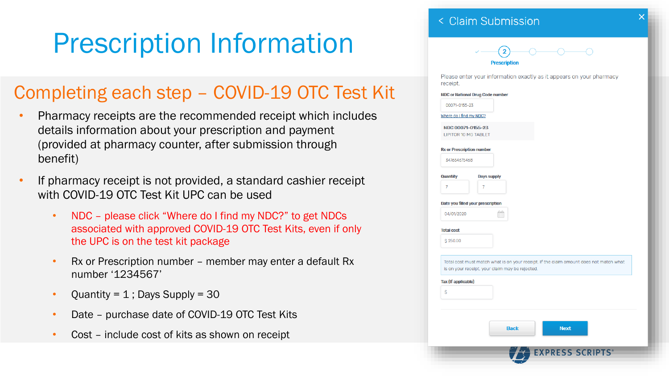## Prescription Information

### Completing each step – COVID-19 OTC Test Kit

- Pharmacy receipts are the recommended receipt which includes details information about your prescription and payment (provided at pharmacy counter, after submission through benefit)
- If pharmacy receipt is not provided, a standard cashier receipt with COVID-19 OTC Test Kit UPC can be used
	- NDC please click "Where do I find my NDC?" to get NDCs associated with approved COVID-19 OTC Test Kits, even if only the UPC is on the test kit package
	- Rx or Prescription number member may enter a default Rx number '1234567'
	- Quantity =  $1$ ; Days Supply = 30
	- Date purchase date of COVID-19 OTC Test Kits
	- Cost include cost of kits as shown on receipt

#### < Claim Submission

$$
\sqrt{2}
$$
 
$$
Prescription
$$

Please enter your information exactly as it appears on your pharmacy receipt.

|                                                  | <b>NDC or National Drug Code number</b>                                                                                                   |
|--------------------------------------------------|-------------------------------------------------------------------------------------------------------------------------------------------|
| 00071-0155-23                                    |                                                                                                                                           |
| Where do I find my NDC?                          |                                                                                                                                           |
| NDC 00071-0155-23<br><b>LIPITOR 10 MG TABLET</b> |                                                                                                                                           |
| <b>Rx or Prescription number</b>                 |                                                                                                                                           |
| 347654675468                                     |                                                                                                                                           |
|                                                  |                                                                                                                                           |
| Quantity<br>7                                    | <b>Days supply</b><br>7                                                                                                                   |
|                                                  |                                                                                                                                           |
|                                                  | Date you filled your prescription                                                                                                         |
| 04/01/2020                                       | Ħ                                                                                                                                         |
| <b>Total cost</b>                                |                                                                                                                                           |
| \$250.00                                         |                                                                                                                                           |
|                                                  |                                                                                                                                           |
|                                                  | Total cost must match what is on your receipt. If the claim amount does not match what<br>is on your receipt, your claim may be rejected. |
| <b>Tax (If applicable)</b>                       |                                                                                                                                           |
| Ŝ                                                |                                                                                                                                           |
|                                                  |                                                                                                                                           |
|                                                  |                                                                                                                                           |
|                                                  | <b>Back</b><br><b>Next</b>                                                                                                                |
|                                                  |                                                                                                                                           |
|                                                  |                                                                                                                                           |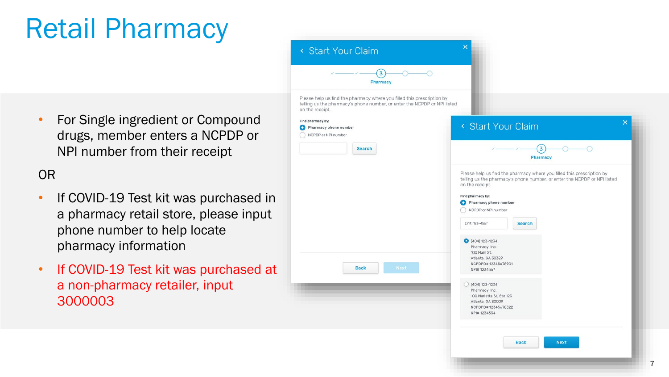## Retail Pharmacy

• For Single ingredient or Compound drugs, member enters a NCPDP or NPI number from their receipt

### OR

- If COVID-19 Test kit was purchased in a pharmacy retail store, please input phone number to help locate pharmacy information
- If COVID -19 Test kit was purchased at a non -pharmacy retailer, input 3000003

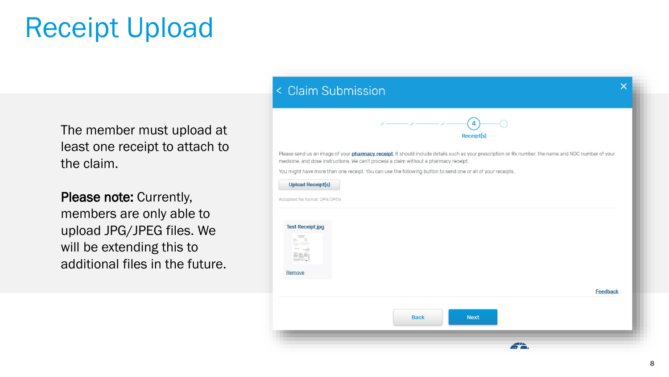### Receipt Upload

The member must upload at least one receipt to attach to the claim.

Please note: Currently, members are only able to upload JPG/JPEG files. We will be extending this to additional files in the future.

### $\overline{\mathsf{x}}$ < Claim Submission **Receipt(s** Please send us an image of your *pharmacy receipt*. It should include details such as your prescription or Rx number, the name and NDC number of your medicine, and dose instructions. We can't process a claim without a pharmacy receipt. You might have more than one receipt. You can use the following button to send one or all of your receipts. **Upload Receipt(s)** Accepted file format: JPG/JPEG **Test Receipt.jpg** e a<br>Sport 5rs Remove Feedback **Back Next**

 $\mathbf{f}$